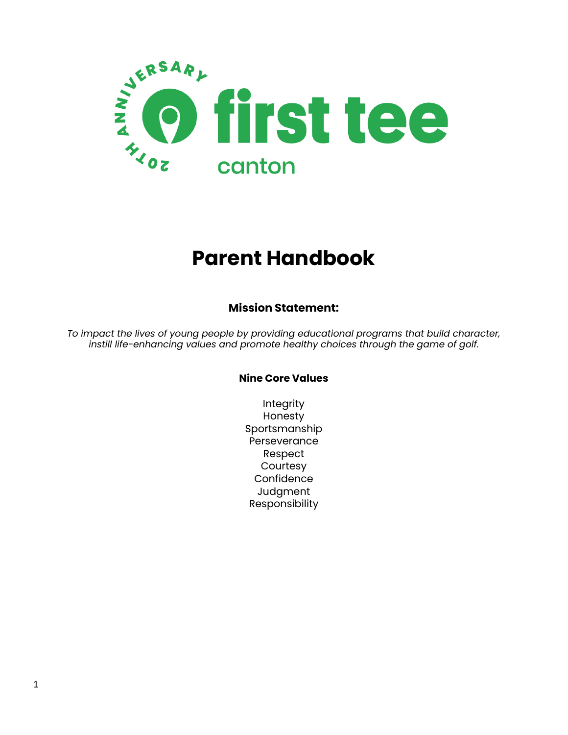

# **Parent Handbook**

#### **Mission Statement:**

*To impact the lives of young people by providing educational programs that build character, instill life-enhancing values and promote healthy choices through the game of golf.*

#### **Nine Core Values**

Integrity Honesty Sportsmanship **Perseverance** Respect **Courtesy Confidence Judgment** Responsibility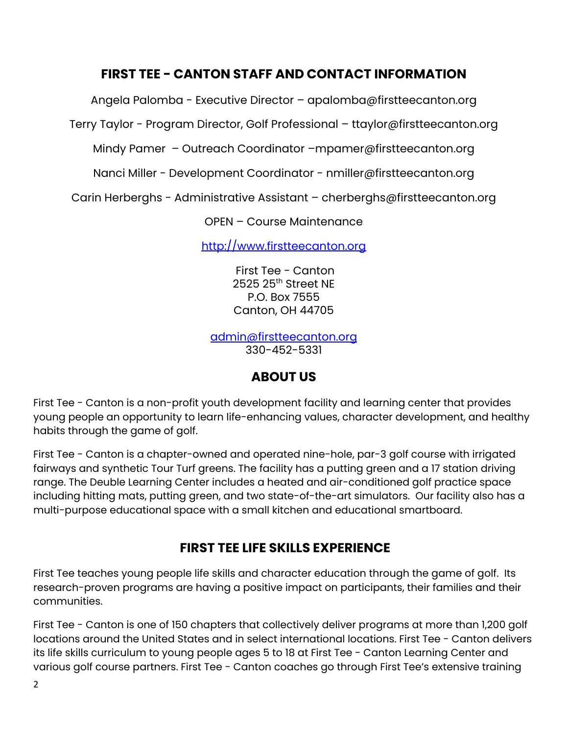### **FIRST TEE - CANTON STAFF AND CONTACT INFORMATION**

Angela Palomba - Executive Director – apalomba@firstteecanton.org

Terry Taylor - Program Director, Golf Professional – [ttaylor@firstteecanton.org](mailto:ttaylor@thefirstteecanton.org)

Mindy Pamer – Outreach Coordinator –mpamer[@firstteecanton.org](mailto:jbankert@thefirstteecanton.org)

Nanci Miller - Development Coordinator - nmiller@firstteecanton.org

Carin Herberghs - Administrative Assistant – [cherberghs@firstteecanton.org](mailto:cherberghs@thefirstteecanton.org)

OPEN – Course Maintenance

http://www.firstteecanton.org

First Tee - Canton 2525 25 th Street NE P.O. Box 7555 Canton, OH 44705

[admin@firstteecanton.org](mailto:admin@thefirstteecanton.org) 330-452-5331

## **ABOUT US**

First Tee - Canton is a non-profit youth development facility and learning center that provides young people an opportunity to learn life-enhancing values, character development, and healthy habits through the game of golf.

First Tee - Canton is a chapter-owned and operated nine-hole, par-3 golf course with irrigated fairways and synthetic Tour Turf greens. The facility has a putting green and a 17 station driving range. The Deuble Learning Center includes a heated and air-conditioned golf practice space including hitting mats, putting green, and two state-of-the-art simulators. Our facility also has a multi-purpose educational space with a small kitchen and educational smartboard.

## **FIRST TEE LIFE SKILLS EXPERIENCE**

First Tee teaches young people life skills and character education through the game of golf. Its research-proven programs are having a positive impact on participants, their families and their communities.

First Tee - Canton is one of 150 chapters that collectively deliver programs at more than 1,200 golf locations around the United States and in select international locations. First Tee - Canton delivers its life skills curriculum to young people ages 5 to 18 at First Tee - Canton Learning Center and various golf course partners. First Tee - Canton coaches go through First Tee's extensive training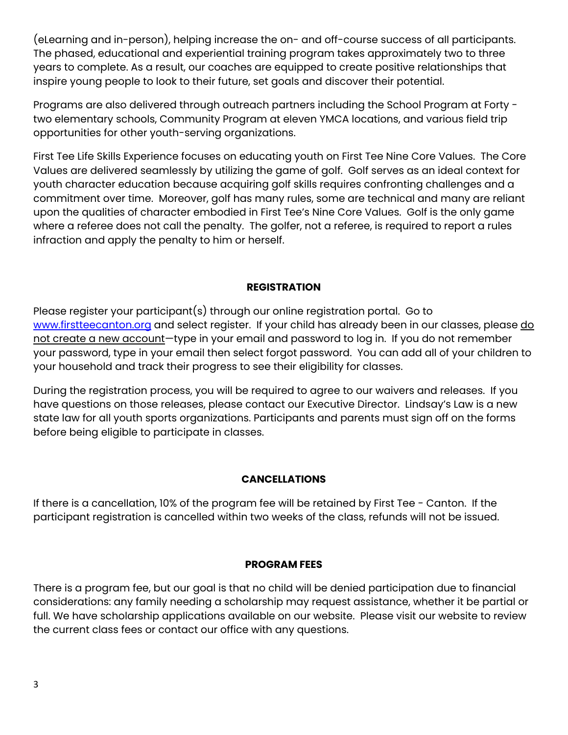(eLearning and in-person), helping increase the on- and off-course success of all participants. The phased, educational and experiential training program takes approximately two to three years to complete. As a result, our coaches are equipped to create positive relationships that inspire young people to look to their future, set goals and discover their potential.

Programs are also delivered through outreach partners including the School Program at Forty two elementary schools, Community Program at eleven YMCA locations, and various field trip opportunities for other youth-serving organizations.

First Tee Life Skills Experience focuses on educating youth on First Tee Nine Core Values. The Core Values are delivered seamlessly by utilizing the game of golf. Golf serves as an ideal context for youth character education because acquiring golf skills requires confronting challenges and a commitment over time. Moreover, golf has many rules, some are technical and many are reliant upon the qualities of character embodied in First Tee's Nine Core Values. Golf is the only game where a referee does not call the penalty. The golfer, not a referee, is required to report a rules infraction and apply the penalty to him or herself.

#### **REGISTRATION**

Please register your participant(s) through our online registration portal. Go to [www.firstteecanton.org](http://www.thefirstteecanton.org) and select register. If your child has already been in our classes, please do not create a new account-type in your email and password to log in. If you do not remember your password, type in your email then select forgot password. You can add all of your children to your household and track their progress to see their eligibility for classes.

During the registration process, you will be required to agree to our waivers and releases. If you have questions on those releases, please contact our Executive Director. Lindsay's Law is a new state law for all youth sports organizations. Participants and parents must sign off on the forms before being eligible to participate in classes.

#### **CANCELLATIONS**

If there is a cancellation, 10% of the program fee will be retained by First Tee - Canton. If the participant registration is cancelled within two weeks of the class, refunds will not be issued.

#### **PROGRAM FEES**

There is a program fee, but our goal is that no child will be denied participation due to financial considerations: any family needing a scholarship may request assistance, whether it be partial or full. We have scholarship applications available on our website. Please visit our website to review the current class fees or contact our office with any questions.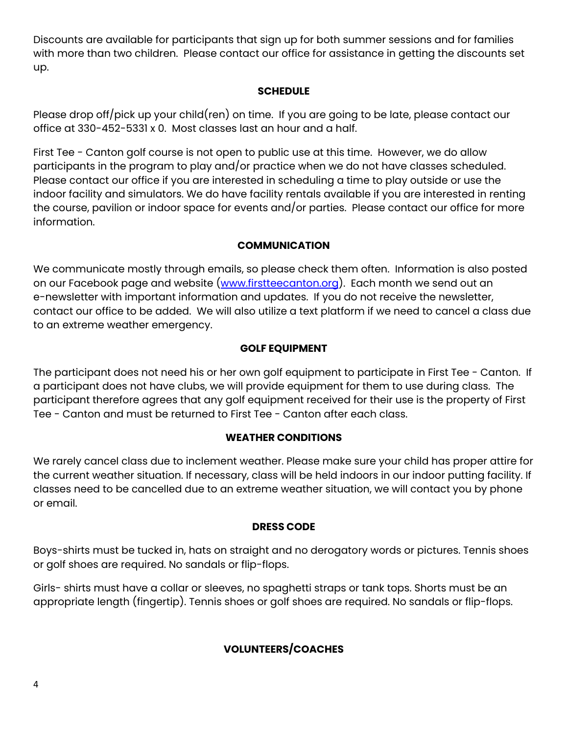Discounts are available for participants that sign up for both summer sessions and for families with more than two children. Please contact our office for assistance in getting the discounts set up.

#### **SCHEDULE**

Please drop off/pick up your child(ren) on time. If you are going to be late, please contact our office at 330-452-5331 x 0. Most classes last an hour and a half.

First Tee - Canton golf course is not open to public use at this time. However, we do allow participants in the program to play and/or practice when we do not have classes scheduled. Please contact our office if you are interested in scheduling a time to play outside or use the indoor facility and simulators. We do have facility rentals available if you are interested in renting the course, pavilion or indoor space for events and/or parties. Please contact our office for more information.

#### **COMMUNICATION**

We communicate mostly through emails, so please check them often. Information is also posted on our Facebook page and website ([www.firstteecanton.org](http://www.thefirstteecanton.org)). Each month we send out an e-newsletter with important information and updates. If you do not receive the newsletter, contact our office to be added. We will also utilize a text platform if we need to cancel a class due to an extreme weather emergency.

#### **GOLF EQUIPMENT**

The participant does not need his or her own golf equipment to participate in First Tee - Canton. If a participant does not have clubs, we will provide equipment for them to use during class. The participant therefore agrees that any golf equipment received for their use is the property of First Tee - Canton and must be returned to First Tee - Canton after each class.

#### **WEATHER CONDITIONS**

We rarely cancel class due to inclement weather. Please make sure your child has proper attire for the current weather situation. If necessary, class will be held indoors in our indoor putting facility. If classes need to be cancelled due to an extreme weather situation, we will contact you by phone or email.

#### **DRESS CODE**

Boys-shirts must be tucked in, hats on straight and no derogatory words or pictures. Tennis shoes or golf shoes are required. No sandals or flip-flops.

Girls- shirts must have a collar or sleeves, no spaghetti straps or tank tops. Shorts must be an appropriate length (fingertip). Tennis shoes or golf shoes are required. No sandals or flip-flops.

#### **VOLUNTEERS/COACHES**